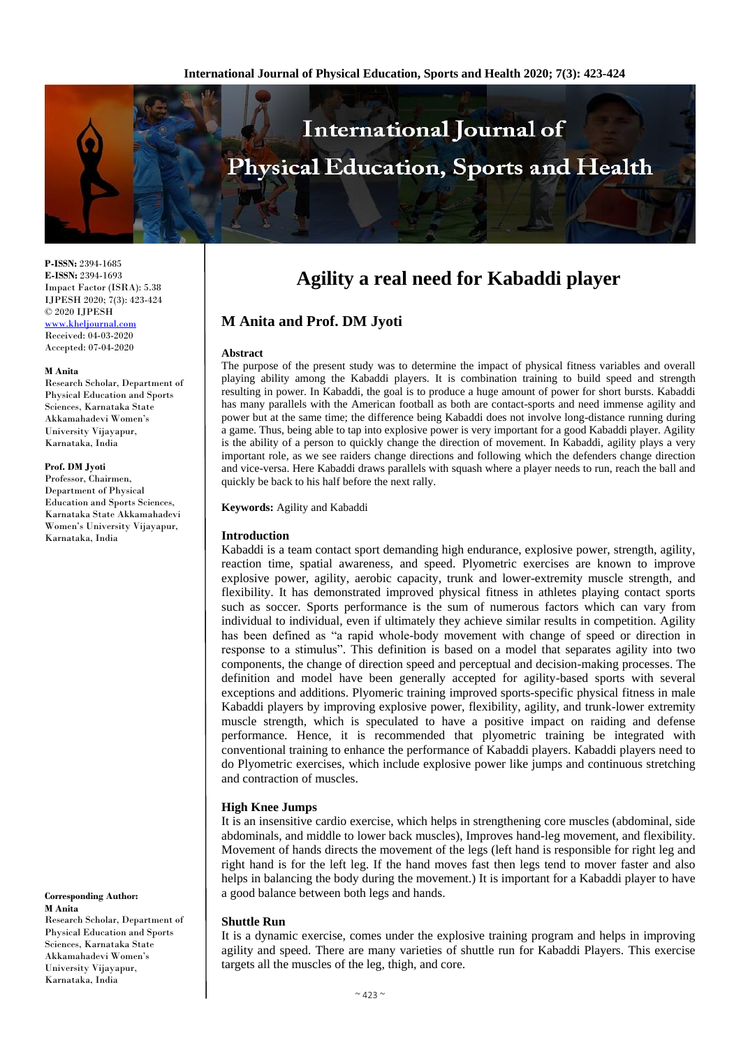

**P-ISSN:** 2394-1685 **E-ISSN:** 2394-1693 Impact Factor (ISRA): 5.38 IJPESH 2020; 7(3): 423-424 © 2020 IJPESH <www.kheljournal.com>

Received: 04-03-2020 Accepted: 07-04-2020

#### **M Anita**

Research Scholar, Department of Physical Education and Sports Sciences, Karnataka State Akkamahadevi Women's University Vijayapur, Karnataka, India

#### **Prof. DM Jyoti**

Professor, Chairmen, Department of Physical Education and Sports Sciences, Karnataka State Akkamahadevi Women's University Vijayapur, Karnataka, India

**Corresponding Author: M Anita** Research Scholar, Department of Physical Education and Sports Sciences, Karnataka State Akkamahadevi Women's University Vijayapur, Karnataka, India

# **Agility a real need for Kabaddi player**

# **M Anita and Prof. DM Jyoti**

#### **Abstract**

The purpose of the present study was to determine the impact of physical fitness variables and overall playing ability among the Kabaddi players. It is combination training to build speed and strength resulting in power. In Kabaddi, the goal is to produce a huge amount of power for short bursts. Kabaddi has many parallels with the American football as both are contact-sports and need immense agility and power but at the same time; the difference being Kabaddi does not involve long-distance running during a game. Thus, being able to tap into explosive power is very important for a good Kabaddi player. Agility is the ability of a person to quickly change the direction of movement. In Kabaddi, agility plays a very important role, as we see raiders change directions and following which the defenders change direction and vice-versa. Here Kabaddi draws parallels with squash where a player needs to run, reach the ball and quickly be back to his half before the next rally.

#### **Keywords:** Agility and Kabaddi

# **Introduction**

Kabaddi is a team contact sport demanding high endurance, explosive power, strength, agility, reaction time, spatial awareness, and speed. Plyometric exercises are known to improve explosive power, agility, aerobic capacity, trunk and lower-extremity muscle strength, and flexibility. It has demonstrated improved physical fitness in athletes playing contact sports such as soccer. Sports performance is the sum of numerous factors which can vary from individual to individual, even if ultimately they achieve similar results in competition. Agility has been defined as "a rapid whole-body movement with change of speed or direction in response to a stimulus". This definition is based on a model that separates agility into two components, the change of direction speed and perceptual and decision-making processes. The definition and model have been generally accepted for agility-based sports with several exceptions and additions. Plyomeric training improved sports-specific physical fitness in male Kabaddi players by improving explosive power, flexibility, agility, and trunk-lower extremity muscle strength, which is speculated to have a positive impact on raiding and defense performance. Hence, it is recommended that plyometric training be integrated with conventional training to enhance the performance of Kabaddi players. Kabaddi players need to do Plyometric exercises, which include explosive power like jumps and continuous stretching and contraction of muscles.

# **High Knee Jumps**

It is an insensitive cardio exercise, which helps in strengthening core muscles (abdominal, side abdominals, and middle to lower back muscles), Improves hand-leg movement, and flexibility. Movement of hands directs the movement of the legs (left hand is responsible for right leg and right hand is for the left leg. If the hand moves fast then legs tend to mover faster and also helps in balancing the body during the movement.) It is important for a Kabaddi player to have a good balance between both legs and hands.

# **Shuttle Run**

It is a dynamic exercise, comes under the explosive training program and helps in improving agility and speed. There are many varieties of shuttle run for Kabaddi Players. This exercise targets all the muscles of the leg, thigh, and core.